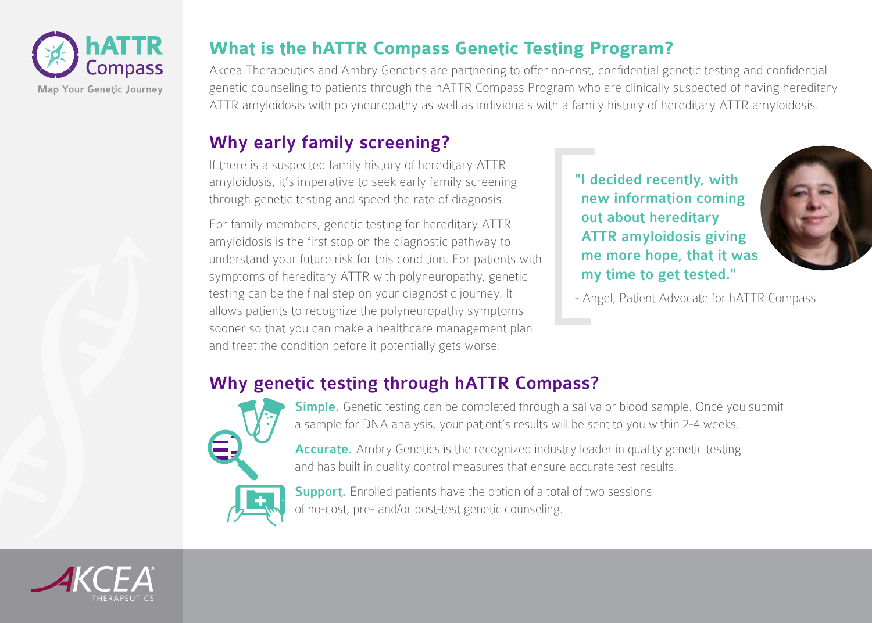

#### **What is the hATTR Compass Genetic Testing Program?**

Akcea Therapeutics and Ambry Genetics are partnering to offer no-cost, confidential genetic testing and confidential genetic counseling to patients through the hATTR Compass Program who are clinically suspected of having hereditary ATTR amyloidosis with polyneuropathy as well as individuals with a family history of hereditary ATTR amyloidosis.

## Why early family screening?

If there is a suspected family history of hereditary ATTR amyloidosis, it's imperative to seek early family screening through genetic testing and speed the rate of diagnosis.

For family members, genetic testing for hereditary ATTR amyloidosis is the first stop on the diagnostic pathway to understand your future risk for this condition. For patients with symptoms of hereditary ATTR with polyneuropathy, genetic testing can be the final step on your diagnostic journey. It allows patients to recognize the polyneuropathy symptoms sooner so that you can make a healthcare management plan and treat the condition before it potentially gets worse.

"I decided recently, with new information coming out about hereditary ATTR amyloidosis giving me more hope, that it was my time to get tested."



- Angel, Patient Advocate for hATTR Compass

# Why genetic testing through hATTR Compass?



Simple. Genetic testing can be completed through a saliva or blood sample. Once you submit a sample for DNA analysis, your patient's results will be sent to you within 2-4 weeks.

Accurate. Ambry Genetics is the recognized industry leader in quality genetic testing and has built in quality control measures that ensure accurate test results.



Support. Enrolled patients have the option of a total of two sessions of no-cost, pre- and/or post-test genetic counseling.